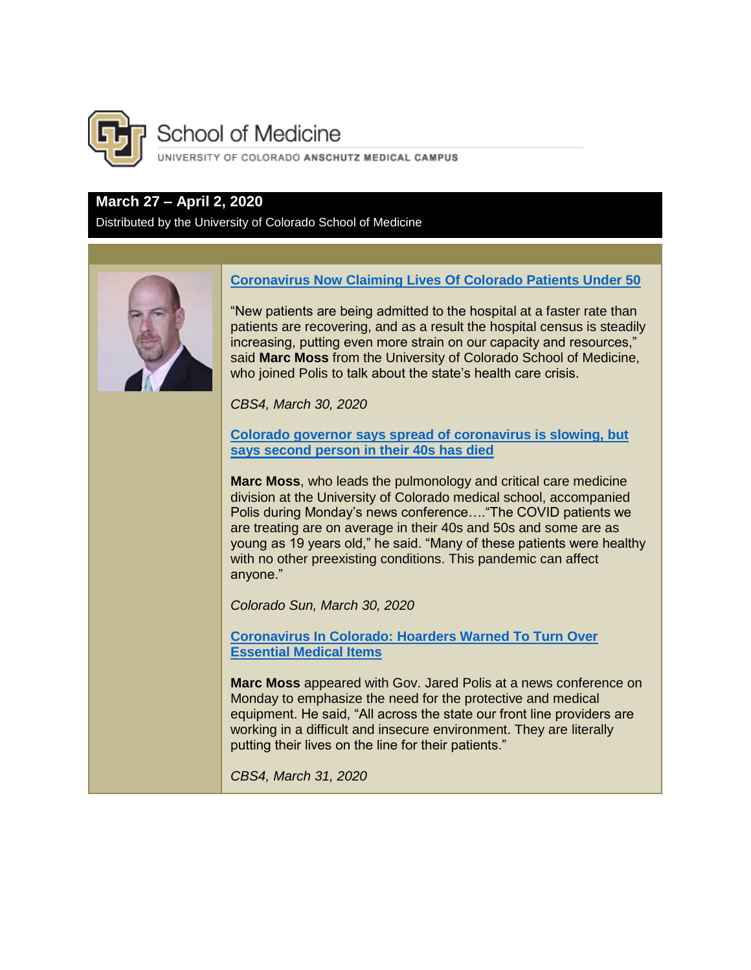

# **School of Medicine**

UNIVERSITY OF COLORADO ANSCHUTZ MEDICAL CAMPUS

# **March 27 – April 2, 2020**

Distributed by the University of Colorado School of Medicine



# **[Coronavirus Now Claiming Lives Of Colorado Patients Under 50](https://denver.cbslocal.com/2020/03/30/coronavirus-colorado-first-covid-19-patient-under-50-dies/)**

"New patients are being admitted to the hospital at a faster rate than patients are recovering, and as a result the hospital census is steadily increasing, putting even more strain on our capacity and resources," said **Marc Moss** from the University of Colorado School of Medicine, who joined Polis to talk about the state's health care crisis.

*CBS4, March 30, 2020*

**[Colorado governor says spread of coronavirus is slowing, but](https://coloradosun.com/2020/03/30/colorado-coronavirus-jared-polis-announcement/)  [says second person in their 40s has died](https://coloradosun.com/2020/03/30/colorado-coronavirus-jared-polis-announcement/)**

**Marc Moss**, who leads the pulmonology and critical care medicine division at the University of Colorado medical school, accompanied Polis during Monday's news conference…."The COVID patients we are treating are on average in their 40s and 50s and some are as young as 19 years old," he said. "Many of these patients were healthy with no other preexisting conditions. This pandemic can affect anyone."

*Colorado Sun, March 30, 2020*

**[Coronavirus In Colorado: Hoarders Warned To Turn Over](https://denver.cbslocal.com/2020/03/30/coronavirus-colorado-hoarders-medical-equipment/)  [Essential Medical Items](https://denver.cbslocal.com/2020/03/30/coronavirus-colorado-hoarders-medical-equipment/)**

**Marc Moss** appeared with Gov. Jared Polis at a news conference on Monday to emphasize the need for the protective and medical equipment. He said, "All across the state our front line providers are working in a difficult and insecure environment. They are literally putting their lives on the line for their patients."

*CBS4, March 31, 2020*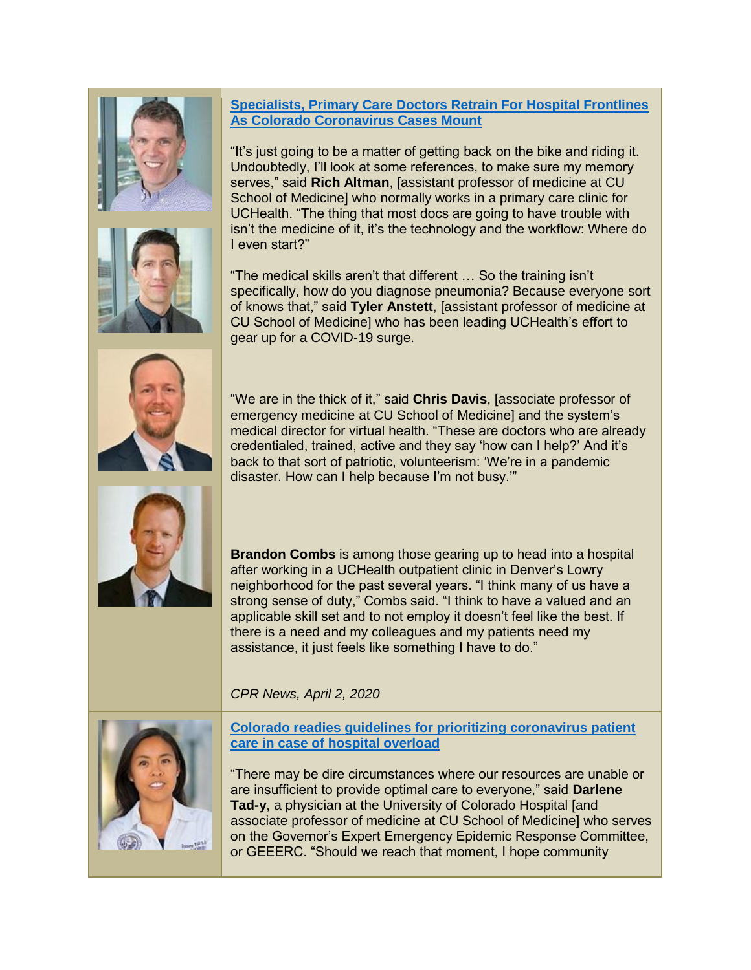# **[Specialists, Primary Care Doctors Retrain For Hospital Frontlines](https://www.cpr.org/2020/04/02/specialists-primary-care-doctors-retrain-for-hospital-frontlines-as-colorado-coronavirus-cases-mount/)  [As Colorado Coronavirus Cases Mount](https://www.cpr.org/2020/04/02/specialists-primary-care-doctors-retrain-for-hospital-frontlines-as-colorado-coronavirus-cases-mount/)**

"It's just going to be a matter of getting back on the bike and riding it. Undoubtedly, I'll look at some references, to make sure my memory serves," said **Rich Altman**, [assistant professor of medicine at CU School of Medicine] who normally works in a primary care clinic for UCHealth. "The thing that most docs are going to have trouble with isn't the medicine of it, it's the technology and the workflow: Where do I even start?"

"The medical skills aren't that different … So the training isn't specifically, how do you diagnose pneumonia? Because everyone sort of knows that," said **Tyler Anstett**, [assistant professor of medicine at CU School of Medicine] who has been leading UCHealth's effort to gear up for a COVID-19 surge.

"We are in the thick of it," said **Chris Davis**, [associate professor of emergency medicine at CU School of Medicine] and the system's medical director for virtual health. "These are doctors who are already credentialed, trained, active and they say 'how can I help?' And it's back to that sort of patriotic, volunteerism: 'We're in a pandemic disaster. How can I help because I'm not busy.'"

**Brandon Combs** is among those gearing up to head into a hospital after working in a UCHealth outpatient clinic in Denver's Lowry neighborhood for the past several years. "I think many of us have a strong sense of duty," Combs said. "I think to have a valued and an applicable skill set and to not employ it doesn't feel like the best. If there is a need and my colleagues and my patients need my assistance, it just feels like something I have to do."

*CPR News, April 2, 2020*



**[Colorado readies guidelines for prioritizing coronavirus patient](https://www.denverpost.com/2020/04/01/colorado-hospital-capacity-coronavirus-covid/)  [care in case of hospital overload](https://www.denverpost.com/2020/04/01/colorado-hospital-capacity-coronavirus-covid/)**

"There may be dire circumstances where our resources are unable or are insufficient to provide optimal care to everyone," said **Darlene Tad-y**, a physician at the University of Colorado Hospital [and associate professor of medicine at CU School of Medicine] who serves on the Governor's Expert Emergency Epidemic Response Committee, or GEEERC. "Should we reach that moment, I hope community



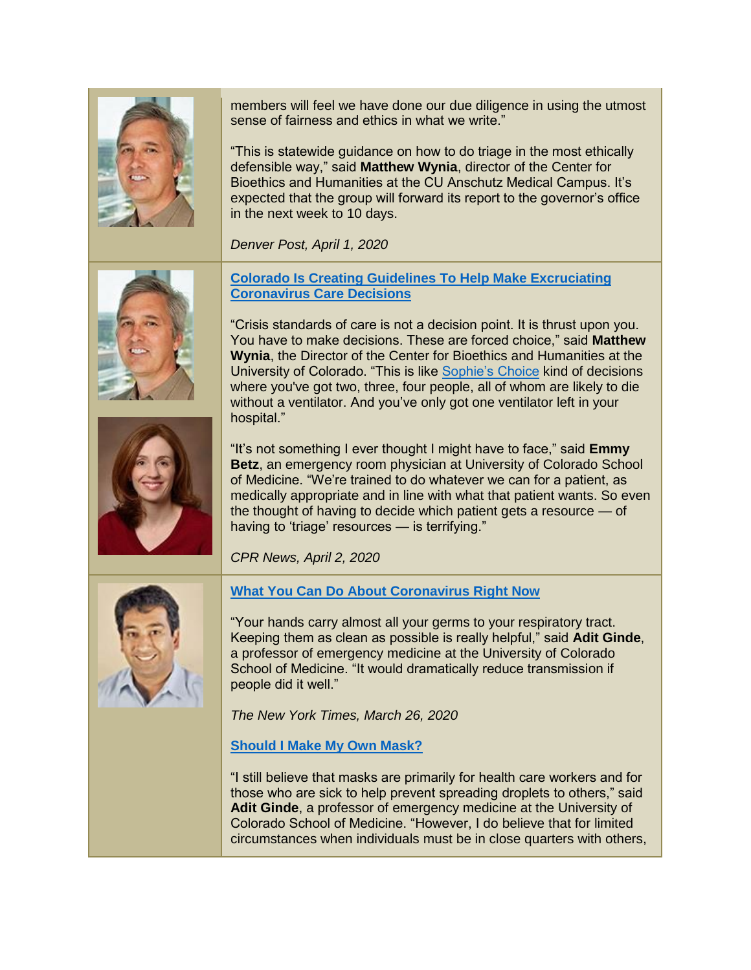

members will feel we have done our due diligence in using the utmost sense of fairness and ethics in what we write."

"This is statewide guidance on how to do triage in the most ethically defensible way," said **Matthew Wynia**, director of the Center for Bioethics and Humanities at the CU Anschutz Medical Campus. It's expected that the group will forward its report to the governor's office in the next week to 10 days.

*Denver Post, April 1, 2020*





**[Colorado Is Creating Guidelines To Help Make Excruciating](https://www.cpr.org/2020/04/02/colorado-is-creating-guidelines-to-help-make-excruciating-coronavirus-care-decisions/)  [Coronavirus Care Decisions](https://www.cpr.org/2020/04/02/colorado-is-creating-guidelines-to-help-make-excruciating-coronavirus-care-decisions/)**

"Crisis standards of care is not a decision point. It is thrust upon you. You have to make decisions. These are forced choice," said **Matthew Wynia**, the Director of the Center for Bioethics and Humanities at the University of Colorado. "This is like [Sophie's Choice](https://www.imdb.com/title/tt0084707/) kind of decisions where you've got two, three, four people, all of whom are likely to die without a ventilator. And you've only got one ventilator left in your hospital."

"It's not something I ever thought I might have to face," said **Emmy Betz**, an emergency room physician at University of Colorado School of Medicine. "We're trained to do whatever we can for a patient, as medically appropriate and in line with what that patient wants. So even the thought of having to decide which patient gets a resource — of having to 'triage' resources — is terrifying."

*CPR News, April 2, 2020*



# **[What You Can Do About Coronavirus Right Now](https://www.nytimes.com/interactive/2020/world/coronavirus-preparation-preparedness.html)**

"Your hands carry almost all your germs to your respiratory tract. Keeping them as clean as possible is really helpful," said **Adit Ginde**, a professor of emergency medicine at the University of Colorado School of Medicine. "It would dramatically reduce transmission if people did it well."

*The New York Times, March 26, 2020*

## **[Should I Make My Own Mask?](https://www.nytimes.com/2020/03/31/well/live/coronavirus-N95-mask-DIY-face-mask-health.html)**

"I still believe that masks are primarily for health care workers and for those who are sick to help prevent spreading droplets to others," said **Adit Ginde**, a professor of emergency medicine at the University of Colorado School of Medicine. "However, I do believe that for limited circumstances when individuals must be in close quarters with others,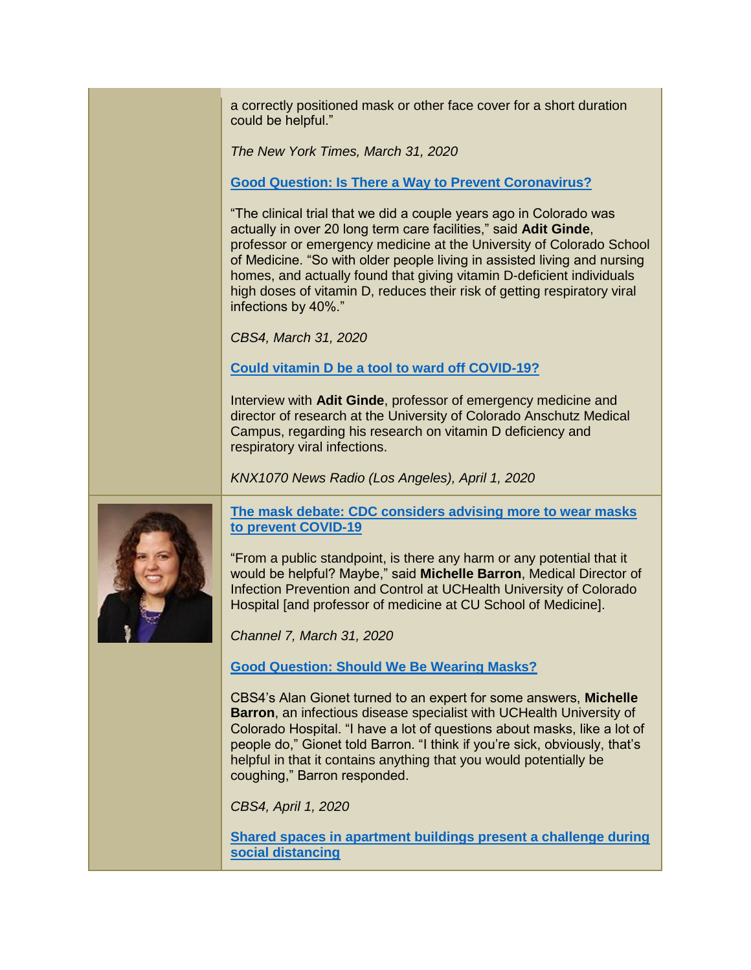a correctly positioned mask or other face cover for a short duration could be helpful."

*The New York Times, March 31, 2020*

**[Good Question: Is There a Way to Prevent Coronavirus?](https://denver.cbslocal.com/2020/03/31/good-question-is-there-a-way-to-prevent-coronavirus/)**

"The clinical trial that we did a couple years ago in Colorado was actually in over 20 long term care facilities," said **Adit Ginde**, professor or emergency medicine at the University of Colorado School of Medicine. "So with older people living in assisted living and nursing homes, and actually found that giving vitamin D-deficient individuals high doses of vitamin D, reduces their risk of getting respiratory viral infections by 40%."

*CBS4, March 31, 2020*

**[Could vitamin D be a tool to ward off COVID-19?](https://knx1070.radio.com/media/audio-channel/the-first-of-the-month-brings-first-harsh-test-of-financial-realities-of-the)**

Interview with **Adit Ginde**, professor of emergency medicine and director of research at the University of Colorado Anschutz Medical Campus, regarding his research on vitamin D deficiency and respiratory viral infections.

*KNX1070 News Radio (Los Angeles), April 1, 2020*



**[The mask debate: CDC considers advising more to wear masks](https://www.thedenverchannel.com/news/360/the-mask-debate-cdc-considers-advising-more-to-wear-masks-to-prevent-covid-19)  [to prevent COVID-19](https://www.thedenverchannel.com/news/360/the-mask-debate-cdc-considers-advising-more-to-wear-masks-to-prevent-covid-19)**

"From a public standpoint, is there any harm or any potential that it would be helpful? Maybe," said **Michelle Barron**, Medical Director of Infection Prevention and Control at UCHealth University of Colorado Hospital [and professor of medicine at CU School of Medicine].

*Channel 7, March 31, 2020*

**[Good Question: Should We Be Wearing Masks?](https://denver.cbslocal.com/2020/04/01/good-question-masks/)**

CBS4's Alan Gionet turned to an expert for some answers, **Michelle Barron**, an infectious disease specialist with UCHealth University of Colorado Hospital. "I have a lot of questions about masks, like a lot of people do," Gionet told Barron. "I think if you're sick, obviously, that's helpful in that it contains anything that you would potentially be coughing," Barron responded.

*CBS4, April 1, 2020*

**[Shared spaces in apartment buildings present a challenge during](https://kdvr.com/news/coronavirus/shared-spaces-in-apartment-buildings-present-a-challenge-during-social-distancing/)  [social distancing](https://kdvr.com/news/coronavirus/shared-spaces-in-apartment-buildings-present-a-challenge-during-social-distancing/)**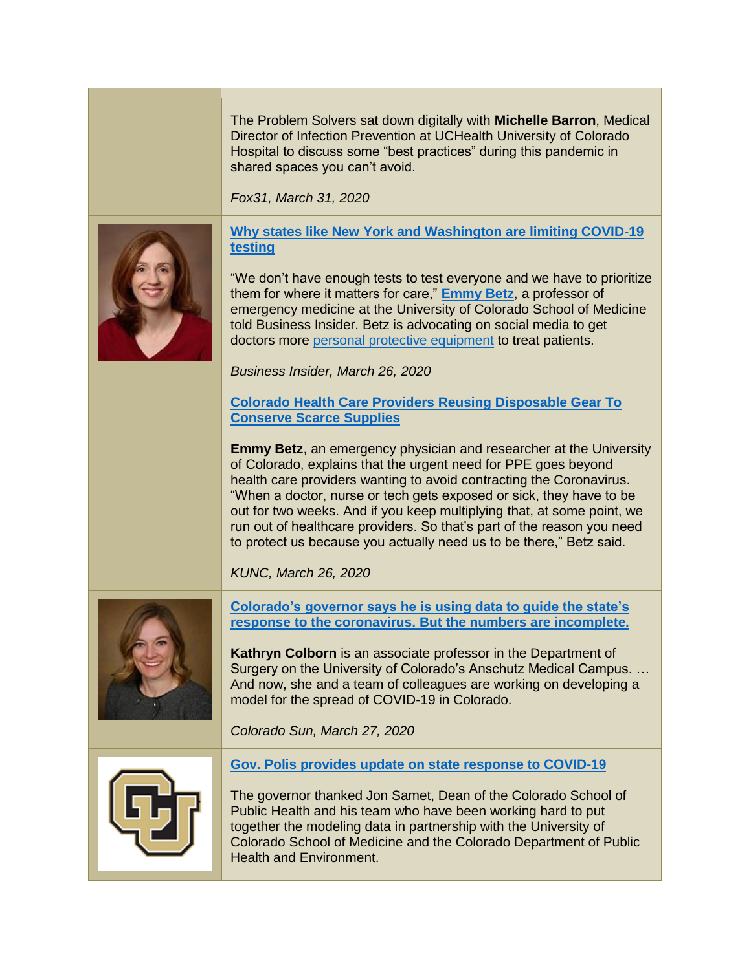The Problem Solvers sat down digitally with **Michelle Barron**, Medical Director of Infection Prevention at UCHealth University of Colorado Hospital to discuss some "best practices" during this pandemic in shared spaces you can't avoid.

*Fox31, March 31, 2020*



**[Why states like New York and Washington are limiting COVID-19](https://www.businessinsider.com/why-states-like-new-york-are-limiting-covid-19-tests-2020-3)  [testing](https://www.businessinsider.com/why-states-like-new-york-are-limiting-covid-19-tests-2020-3)**

"We don't have enough tests to test everyone and we have to prioritize them for where it matters for care," **[Emmy Betz](http://www.ucdenver.edu/academics/colleges/medicalschool/departments/EmergencyMedicine/Faculty/Faculty-Anschutz%20Medical%20Campus/Pages/betz.aspx)**, a professor of emergency medicine at the University of Colorado School of Medicine told Business Insider. Betz is advocating on social media to get doctors more [personal protective equipment](https://getusppe.org/) to treat patients.

*Business Insider, March 26, 2020*

**[Colorado Health Care Providers Reusing Disposable Gear To](https://www.kunc.org/post/colorado-health-care-providers-reusing-disposable-gear-conserve-scarce-supplies#stream/0)  [Conserve Scarce Supplies](https://www.kunc.org/post/colorado-health-care-providers-reusing-disposable-gear-conserve-scarce-supplies#stream/0)**

**Emmy Betz**, an emergency physician and researcher at the University of Colorado, explains that the urgent need for PPE goes beyond health care providers wanting to avoid contracting the Coronavirus. "When a doctor, nurse or tech gets exposed or sick, they have to be out for two weeks. And if you keep multiplying that, at some point, we run out of healthcare providers. So that's part of the reason you need to protect us because you actually need us to be there," Betz said.

*KUNC, March 26, 2020*



**[Colorado's governor says he is using data to guide the state's](https://coloradosun.com/2020/03/27/coronavirus-covid-epidemiology-curve-data/)  [response to the coronavirus. But the numbers are incomplete.](https://coloradosun.com/2020/03/27/coronavirus-covid-epidemiology-curve-data/)**

**Kathryn Colborn** is an associate professor in the Department of Surgery on the University of Colorado's Anschutz Medical Campus. … And now, she and a team of colleagues are working on developing a model for the spread of COVID-19 in Colorado.

*Colorado Sun, March 27, 2020*



**[Gov. Polis provides update on state response to COVID-19](http://www.themountainmail.com/free_content/article_2683ffc2-70af-11ea-8038-ffda90a1af54.html)**

The governor thanked Jon Samet, Dean of the Colorado School of Public Health and his team who have been working hard to put together the modeling data in partnership with the University of Colorado School of Medicine and the Colorado Department of Public Health and Environment.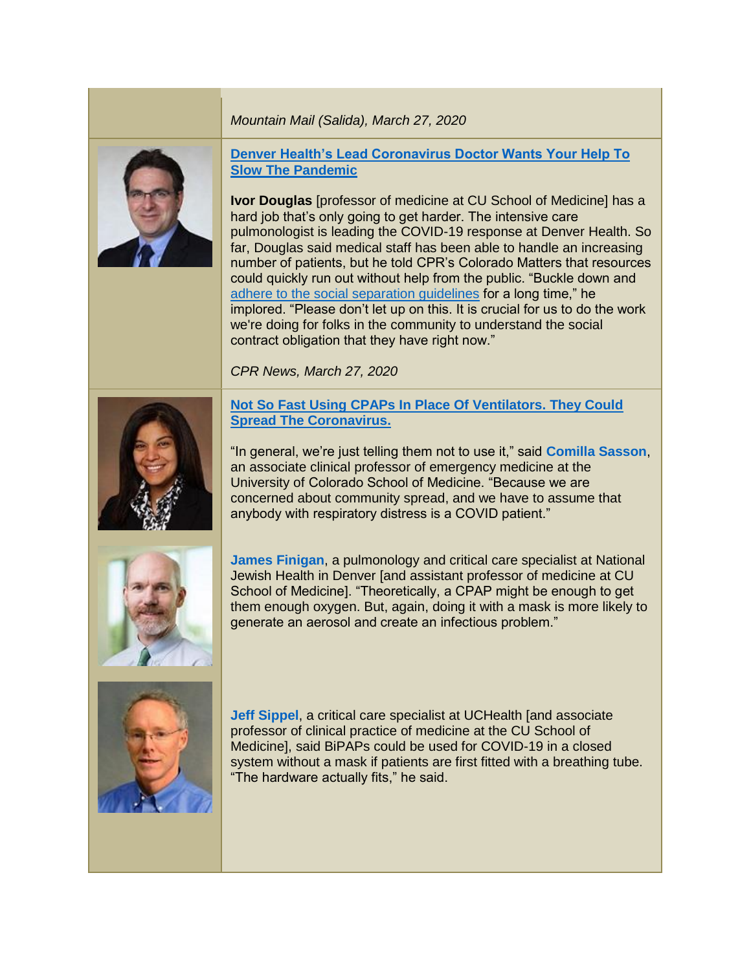#### *Mountain Mail (Salida), March 27, 2020*



**[Denver Health's Lead Coronavirus Doctor Wants Your Help To](https://www.cpr.org/2020/03/27/denver-healths-lead-coronavirus-doctor-wants-your-help-to-slow-the-pandemic/)  [Slow The Pandemic](https://www.cpr.org/2020/03/27/denver-healths-lead-coronavirus-doctor-wants-your-help-to-slow-the-pandemic/)**

**Ivor Douglas** [professor of medicine at CU School of Medicine] has a hard job that's only going to get harder. The intensive care pulmonologist is leading the COVID-19 response at Denver Health. So far, Douglas said medical staff has been able to handle an increasing number of patients, but he told CPR's Colorado Matters that resources could quickly run out without help from the public. "Buckle down and [adhere to the social separation guidelines](https://www.cpr.org/2020/03/27/heres-when-coloradans-can-expect-results-from-all-this-social-distancing/) for a long time," he implored. "Please don't let up on this. It is crucial for us to do the work we're doing for folks in the community to understand the social contract obligation that they have right now."

*CPR News, March 27, 2020*



# **[Not So Fast Using CPAPs In Place Of Ventilators. They Could](https://khn.org/news/covid19-ventilator-shortage-substituting-cpaps-could-spread-coronavirus/)  [Spread The Coronavirus.](https://khn.org/news/covid19-ventilator-shortage-substituting-cpaps-could-spread-coronavirus/)**

"In general, we're just telling them not to use it," said **[Comilla Sasson](https://www.cudoctors.com/Find_A_Doctor/Profile/6453)**, an associate clinical professor of emergency medicine at the University of Colorado School of Medicine. "Because we are concerned about community spread, and we have to assume that anybody with respiratory distress is a COVID patient."



**[James Finigan](https://www.nationaljewish.org/doctors-departments/providers/physicians/james-h-finigan)**, a pulmonology and critical care specialist at National Jewish Health in Denver [and assistant professor of medicine at CU School of Medicine]. "Theoretically, a CPAP might be enough to get them enough oxygen. But, again, doing it with a mask is more likely to generate an aerosol and create an infectious problem."



**[Jeff Sippel](https://www.cudoctors.com/Find_A_Doctor/Profile/11246)**, a critical care specialist at UCHealth [and associate professor of clinical practice of medicine at the CU School of Medicine], said BiPAPs could be used for COVID-19 in a closed system without a mask if patients are first fitted with a breathing tube. "The hardware actually fits," he said.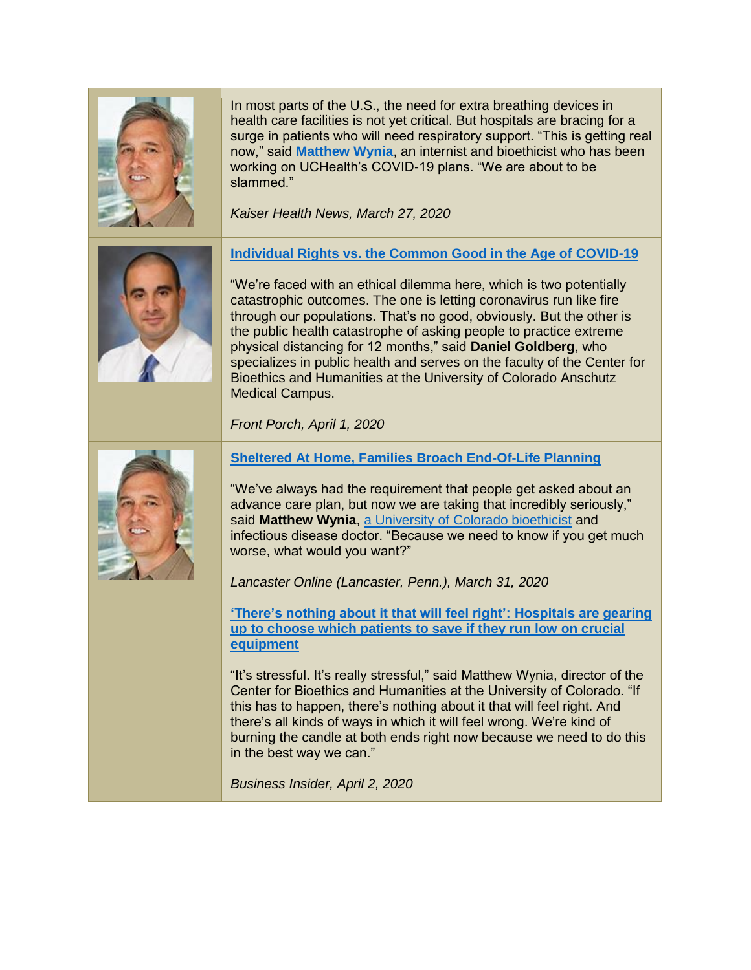

In most parts of the U.S., the need for extra breathing devices in health care facilities is not yet critical. But hospitals are bracing for a surge in patients who will need respiratory support. "This is getting real now," said **[Matthew Wynia](https://www.cuanschutz.edu/centers/bioethicshumanities/faculty-staff/matthew-wynia)**, an internist and bioethicist who has been working on UCHealth's COVID-19 plans. "We are about to be slammed."

*Kaiser Health News, March 27, 2020*



**[Individual Rights vs. the Common Good in the Age of COVID-19](https://frontporchne.com/article/individual-rights-vs-common-good-age-covid-19/)**

"We're faced with an ethical dilemma here, which is two potentially catastrophic outcomes. The one is letting coronavirus run like fire through our populations. That's no good, obviously. But the other is the public health catastrophe of asking people to practice extreme physical distancing for 12 months," said **Daniel Goldberg**, who specializes in public health and serves on the faculty of the Center for Bioethics and Humanities at the University of Colorado Anschutz Medical Campus.

*Front Porch, April 1, 2020*



**[Sheltered At Home, Families Broach End-Of-Life Planning](https://lancasteronline.com/news/health/sheltered-at-home-families-broach-end-of-life-planning/article_eab860e0-7370-11ea-8c3d-5383972191d4.html)**

"We've always had the requirement that people get asked about an advance care plan, but now we are taking that incredibly seriously," said **Matthew Wynia**, [a University of Colorado bioethicist](https://www.cuanschutz.edu/centers/bioethicshumanities/faculty-staff/matthew-wynia) and infectious disease doctor. "Because we need to know if you get much worse, what would you want?"

*Lancaster Online (Lancaster, Penn.), March 31, 2020*

**['There's nothing about it that will feel right': Hospitals are gearing](https://www.businessinsider.com/hospitals-are-already-deciding-how-to-ration-ventilators-2020-3)  [up to choose which patients to save if they run low on crucial](https://www.businessinsider.com/hospitals-are-already-deciding-how-to-ration-ventilators-2020-3)  [equipment](https://www.businessinsider.com/hospitals-are-already-deciding-how-to-ration-ventilators-2020-3)**

"It's stressful. It's really stressful," said Matthew Wynia, director of the Center for Bioethics and Humanities at the University of Colorado. "If this has to happen, there's nothing about it that will feel right. And there's all kinds of ways in which it will feel wrong. We're kind of burning the candle at both ends right now because we need to do this in the best way we can."

*Business Insider, April 2, 2020*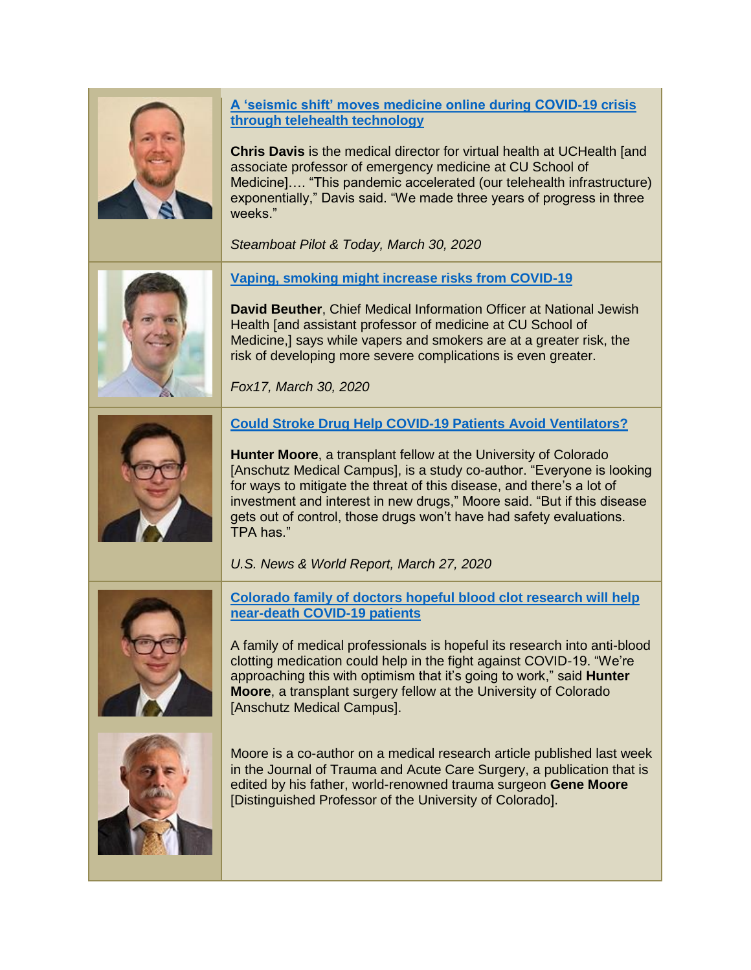

**[A 'seismic shift' moves medicine online during COVID-19 crisis](https://www.steamboatpilot.com/news/a-seismic-shift-moves-medicine-online-during-covid-19-crisis-through-telehealth-technology/)  [through telehealth technology](https://www.steamboatpilot.com/news/a-seismic-shift-moves-medicine-online-during-covid-19-crisis-through-telehealth-technology/)**

**Chris Davis** is the medical director for virtual health at UCHealth [and associate professor of emergency medicine at CU School of Medicine]…. "This pandemic accelerated (our telehealth infrastructure) exponentially," Davis said. "We made three years of progress in three weeks."

*Steamboat Pilot & Today, March 30, 2020*



**[Vaping, smoking might increase risks from COVID-19](https://www.fox17online.com/news/national/coronavirus/vaping-smoking-might-increase-risks-from-covid-19)**

**David Beuther**, Chief Medical Information Officer at National Jewish Health [and assistant professor of medicine at CU School of Medicine,] says while vapers and smokers are at a greater risk, the risk of developing more severe complications is even greater.

*Fox17, March 30, 2020*



**Hunter Moore**, a transplant fellow at the University of Colorado [Anschutz Medical Campus], is a study co-author. "Everyone is looking for ways to mitigate the threat of this disease, and there's a lot of investment and interest in new drugs," Moore said. "But if this disease gets out of control, those drugs won't have had safety evaluations. TPA has."

*U.S. News & World Report, March 27, 2020*



**[Colorado family of doctors hopeful blood clot research will help](https://kdvr.com/news/coronavirus/colorado-family-of-doctors-hopeful-blood-clot-research-will-help-near-death-covid-19-patients/)  [near-death COVID-19 patients](https://kdvr.com/news/coronavirus/colorado-family-of-doctors-hopeful-blood-clot-research-will-help-near-death-covid-19-patients/)**

A family of medical professionals is hopeful its research into anti-blood clotting medication could help in the fight against COVID-19. "We're approaching this with optimism that it's going to work," said **Hunter Moore**, a transplant surgery fellow at the University of Colorado [Anschutz Medical Campus].



Moore is a co-author on a medical research article published last week in the Journal of Trauma and Acute Care Surgery, a publication that is edited by his father, world-renowned trauma surgeon **Gene Moore** [Distinguished Professor of the University of Colorado].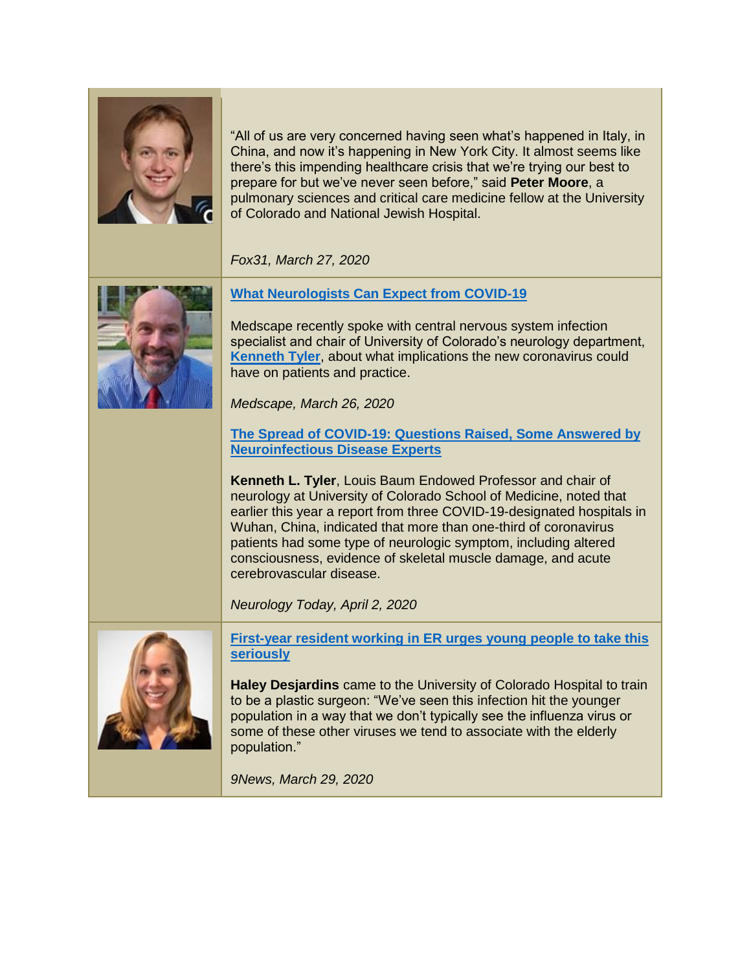

"All of us are very concerned having seen what's happened in Italy, in China, and now it's happening in New York City. It almost seems like there's this impending healthcare crisis that we're trying our best to prepare for but we've never seen before," said **Peter Moore**, a pulmonary sciences and critical care medicine fellow at the University of Colorado and National Jewish Hospital.

*Fox31, March 27, 2020*



**[What Neurologists Can Expect from COVID-19](https://www.medscape.com/viewarticle/927562)**

Medscape recently spoke with central nervous system infection specialist and chair of University of Colorado's neurology department, **[Kenneth Tyler](http://www.ucdenver.edu/academics/colleges/medicalschool/departments/neurology/Faculty/Pages/Tyler.aspx)**, about what implications the new coronavirus could have on patients and practice.

*Medscape, March 26, 2020*

# **[The Spread of COVID-19: Questions Raised, Some Answered by](https://journals.lww.com/neurotodayonline/Fulltext/2020/04020/The_Spread_of_COVID_19__Questions_Raised,_Some.1.aspx)  [Neuroinfectious Disease Experts](https://journals.lww.com/neurotodayonline/Fulltext/2020/04020/The_Spread_of_COVID_19__Questions_Raised,_Some.1.aspx)**

**Kenneth L. Tyler**, Louis Baum Endowed Professor and chair of neurology at University of Colorado School of Medicine, noted that earlier this year a report from three COVID-19-designated hospitals in Wuhan, China, indicated that more than one-third of coronavirus patients had some type of neurologic symptom, including altered consciousness, evidence of skeletal muscle damage, and acute cerebrovascular disease.

*Neurology Today, April 2, 2020*



**[First-year resident working in ER urges young people to take this](https://www.9news.com/video/news/health/coronavirus/first-year-resident-working-in-er-urges-young-people-to-take-this-seriously/73-382f5bcf-68d3-49f1-8421-8b32371e2324)  [seriously](https://www.9news.com/video/news/health/coronavirus/first-year-resident-working-in-er-urges-young-people-to-take-this-seriously/73-382f5bcf-68d3-49f1-8421-8b32371e2324)**

**Haley Desjardins** came to the University of Colorado Hospital to train to be a plastic surgeon: "We've seen this infection hit the younger population in a way that we don't typically see the influenza virus or some of these other viruses we tend to associate with the elderly population."

*9News, March 29, 2020*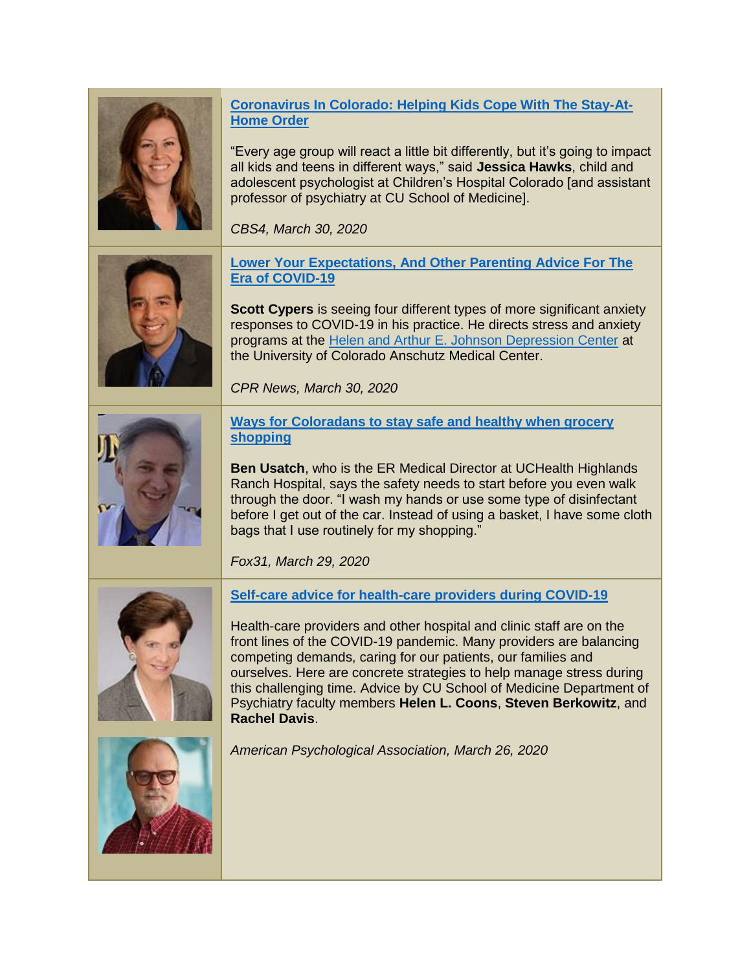**[Coronavirus In Colorado: Helping Kids Cope With The Stay-At-](https://denver.cbslocal.com/2020/03/30/coronavirus-helping-kids-cope-stay-at-home-order/)[Home Order](https://denver.cbslocal.com/2020/03/30/coronavirus-helping-kids-cope-stay-at-home-order/)**

"Every age group will react a little bit differently, but it's going to impact all kids and teens in different ways," said **Jessica Hawks**, child and adolescent psychologist at Children's Hospital Colorado [and assistant professor of psychiatry at CU School of Medicine].

*CBS4, March 30, 2020*

**[Lower Your Expectations, And Other Parenting Advice For The](https://www.cpr.org/2020/03/30/lower-your-expectations-and-other-parenting-advice-for-the-era-of-covid-19/)  [Era of COVID-19](https://www.cpr.org/2020/03/30/lower-your-expectations-and-other-parenting-advice-for-the-era-of-covid-19/)**

**Scott Cypers** is seeing four different types of more significant anxiety responses to COVID-19 in his practice. He directs stress and anxiety programs at the [Helen and Arthur E. Johnson Depression Center](https://www.coloradodepressioncenter.org/) at the University of Colorado Anschutz Medical Center.

*CPR News, March 30, 2020*



**[Ways for Coloradans to stay safe and healthy when grocery](https://kdvr.com/news/local/ways-for-coloradans-to-stay-safe-and-healthy-when-grocery-shopping/)  [shopping](https://kdvr.com/news/local/ways-for-coloradans-to-stay-safe-and-healthy-when-grocery-shopping/)**

**Ben Usatch**, who is the ER Medical Director at UCHealth Highlands Ranch Hospital, says the safety needs to start before you even walk through the door. "I wash my hands or use some type of disinfectant before I get out of the car. Instead of using a basket, I have some cloth bags that I use routinely for my shopping."

*Fox31, March 29, 2020*



**[Self-care advice for health-care providers during COVID-19](https://www.apaservices.org/practice/ce/self-care/health-providers-covid-19)**

Health-care providers and other hospital and clinic staff are on the front lines of the COVID-19 pandemic. Many providers are balancing competing demands, caring for our patients, our families and ourselves. Here are concrete strategies to help manage stress during this challenging time. Advice by CU School of Medicine Department of Psychiatry faculty members **Helen L. Coons**, **Steven Berkowitz**, and **Rachel Davis**.



*American Psychological Association, March 26, 2020*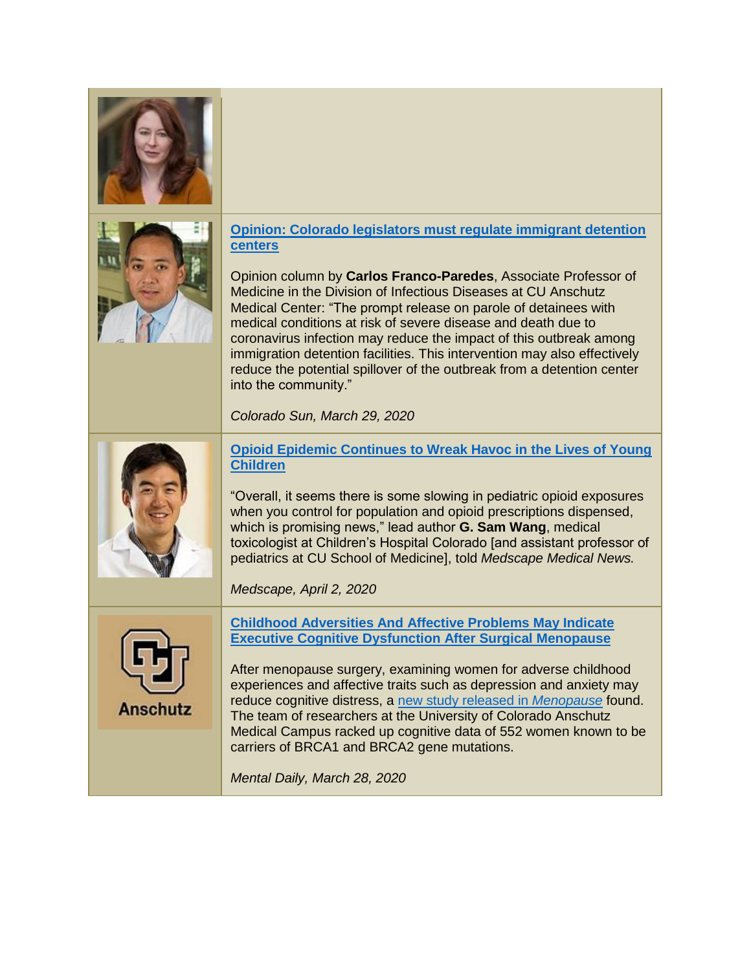



## **[Opinion: Colorado legislators must regulate immigrant detention](https://coloradosun.com/2020/03/29/colorado-immigrant-detention-coronavirus-geo-opinion/)  [centers](https://coloradosun.com/2020/03/29/colorado-immigrant-detention-coronavirus-geo-opinion/)**

Opinion column by **Carlos Franco-Paredes**, Associate Professor of Medicine in the Division of Infectious Diseases at CU Anschutz Medical Center: "The prompt release on parole of detainees with medical conditions at risk of severe disease and death due to coronavirus infection may reduce the impact of this outbreak among immigration detention facilities. This intervention may also effectively reduce the potential spillover of the outbreak from a detention center into the community."

*Colorado Sun, March 29, 2020*



**[Opioid Epidemic Continues to Wreak Havoc in the Lives of Young](https://www.medscape.com/viewarticle/927984)  [Children](https://www.medscape.com/viewarticle/927984)**

"Overall, it seems there is some slowing in pediatric opioid exposures when you control for population and opioid prescriptions dispensed, which is promising news," lead author **G. Sam Wang**, medical toxicologist at Children's Hospital Colorado [and assistant professor of pediatrics at CU School of Medicine], told *Medscape Medical News.*

*Medscape, April 2, 2020*



**[Childhood Adversities And Affective Problems May Indicate](https://www.mentaldaily.com/article/2020/03/childhood-adversities-and-affective-problems-may-indicate-executive-cognitive-dysfunction-after-surgical-menopause)  [Executive Cognitive Dysfunction After Surgical Menopause](https://www.mentaldaily.com/article/2020/03/childhood-adversities-and-affective-problems-may-indicate-executive-cognitive-dysfunction-after-surgical-menopause)**

After menopause surgery, examining women for adverse childhood experiences and affective traits such as depression and anxiety may reduce cognitive distress, a [new study released in](https://news.cuanschutz.edu/news-stories/executive-function-in-women-post-surgical-menopause) *Menopause* found. The team of researchers at the University of Colorado Anschutz Medical Campus racked up cognitive data of 552 women known to be carriers of BRCA1 and BRCA2 gene mutations.

*Mental Daily, March 28, 2020*